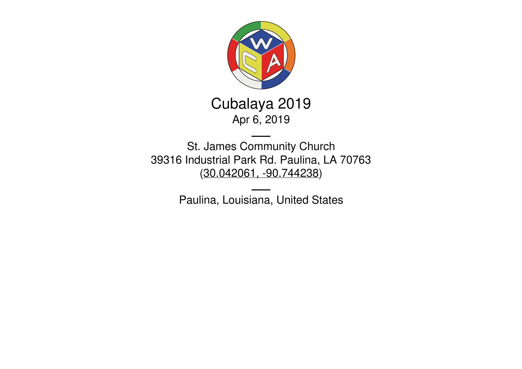

Cubalaya 2019 Apr 6, 2019

St. James Community Church 39316 Industrial Park Rd. Paulina, LA 70763 (30.042061, [-90.744238](https://www.google.com/maps/place/30.042061,-90.744238))

Paulina, Louisiana, United States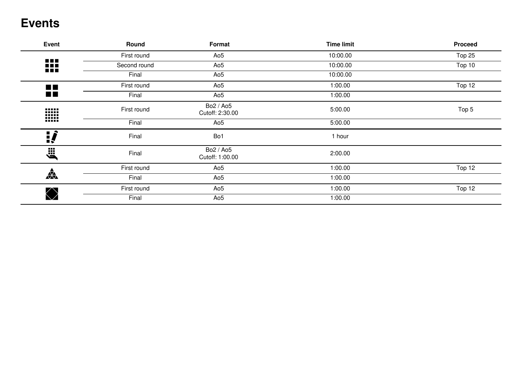## **Events**

| Event                | Round        | Format                       | <b>Time limit</b> | <b>Proceed</b> |
|----------------------|--------------|------------------------------|-------------------|----------------|
|                      | First round  | Ao5                          | 10:00.00          | Top 25         |
| 88<br>n na           | Second round | Ao5                          | 10:00.00          | Top 10         |
|                      | Final        | Ao5                          | 10:00.00          |                |
| $\blacksquare$       | First round  | Ao5                          | 1:00.00           | Top 12         |
| $\blacksquare$       | Final        | Ao <sub>5</sub>              | 1:00.00           |                |
| W                    | First round  | Bo2 / Ao5<br>Cutoff: 2:30.00 | 5:00.00           | Top 5          |
|                      | Final        | Ao5                          | 5:00.00           |                |
| <u> </u>             | Final        | Bo1                          | 1 hour            |                |
| ji<br>Ö              | Final        | Bo2 / Ao5<br>Cutoff: 1:00.00 | 2:00.00           |                |
|                      | First round  | Ao5                          | 1:00.00           | Top 12         |
| $\frac{1}{\sqrt{2}}$ | Final        | Ao5                          | 1:00.00           |                |
|                      | First round  | Ao5                          | 1:00.00           | Top 12         |
|                      | Final        | Ao5                          | 1:00.00           |                |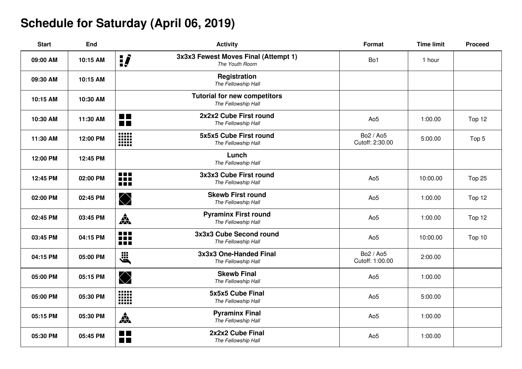# **Schedule for Saturday (April 06, 2019)**

| <b>Start</b> | End      |                                   | <b>Activity</b>                                            | <b>Format</b>                | <b>Time limit</b> | <b>Proceed</b> |
|--------------|----------|-----------------------------------|------------------------------------------------------------|------------------------------|-------------------|----------------|
| 09:00 AM     | 10:15 AM | ij                                | 3x3x3 Fewest Moves Final (Attempt 1)<br>The Youth Room     | Bo1                          | 1 hour            |                |
| 09:30 AM     | 10:15 AM |                                   | <b>Registration</b><br>The Fellowship Hall                 |                              |                   |                |
| 10:15 AM     | 10:30 AM |                                   | <b>Tutorial for new competitors</b><br>The Fellowship Hall |                              |                   |                |
| 10:30 AM     | 11:30 AM | <b>THE</b><br><b>THE</b>          | 2x2x2 Cube First round<br>The Fellowship Hall              | Ao <sub>5</sub>              | 1:00.00           | Top 12         |
| 11:30 AM     | 12:00 PM | -----<br>W                        | 5x5x5 Cube First round<br>The Fellowship Hall              | Bo2 / Ao5<br>Cutoff: 2:30.00 | 5:00.00           | Top 5          |
| 12:00 PM     | 12:45 PM |                                   | Lunch<br>The Fellowship Hall                               |                              |                   |                |
| 12:45 PM     | 02:00 PM | <b>.</b><br>m<br><b>REE</b>       | 3x3x3 Cube First round<br>The Fellowship Hall              | Ao <sub>5</sub>              | 10:00.00          | Top 25         |
| 02:00 PM     | 02:45 PM | $\bigotimes$                      | <b>Skewb First round</b><br>The Fellowship Hall            | Ao <sub>5</sub>              | 1:00.00           | Top 12         |
| 02:45 PM     | 03:45 PM | $\frac{1}{\sqrt{2}}$              | <b>Pyraminx First round</b><br>The Fellowship Hall         | Ao <sub>5</sub>              | 1:00.00           | Top 12         |
| 03:45 PM     | 04:15 PM | n n n<br><b>RRK</b><br><b>RED</b> | 3x3x3 Cube Second round<br>The Fellowship Hall             | Ao <sub>5</sub>              | 10:00.00          | Top 10         |
| 04:15 PM     | 05:00 PM | J.                                | 3x3x3 One-Handed Final<br>The Fellowship Hall              | Bo2 / Ao5<br>Cutoff: 1:00.00 | 2:00.00           |                |
| 05:00 PM     | 05:15 PM | $\bigotimes$                      | <b>Skewb Final</b><br>The Fellowship Hall                  | Ao <sub>5</sub>              | 1:00.00           |                |
| 05:00 PM     | 05:30 PM | W                                 | 5x5x5 Cube Final<br>The Fellowship Hall                    | Ao <sub>5</sub>              | 5:00.00           |                |
| 05:15 PM     | 05:30 PM | $\mathbf{A}$                      | <b>Pyraminx Final</b><br>The Fellowship Hall               | Ao <sub>5</sub>              | 1:00.00           |                |
| 05:30 PM     | 05:45 PM | <b>TIT</b><br><b>The Co</b>       | 2x2x2 Cube Final<br>The Fellowship Hall                    | Ao <sub>5</sub>              | 1:00.00           |                |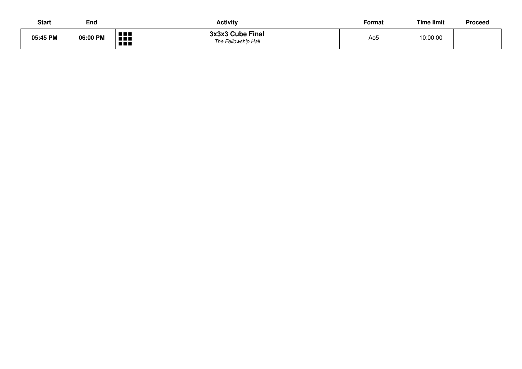| <b>Start</b> | End      | <b>Activity</b>                                                                  | Format | <b>Time limit</b> | Proceed |
|--------------|----------|----------------------------------------------------------------------------------|--------|-------------------|---------|
| 05:45 PM     | 06:00 PM | 3x3x3 Cube Final<br>n din<br><b>THE R</b><br>The Fellowship Hall<br><b>A A A</b> | Ao5    | 10:00.00          |         |